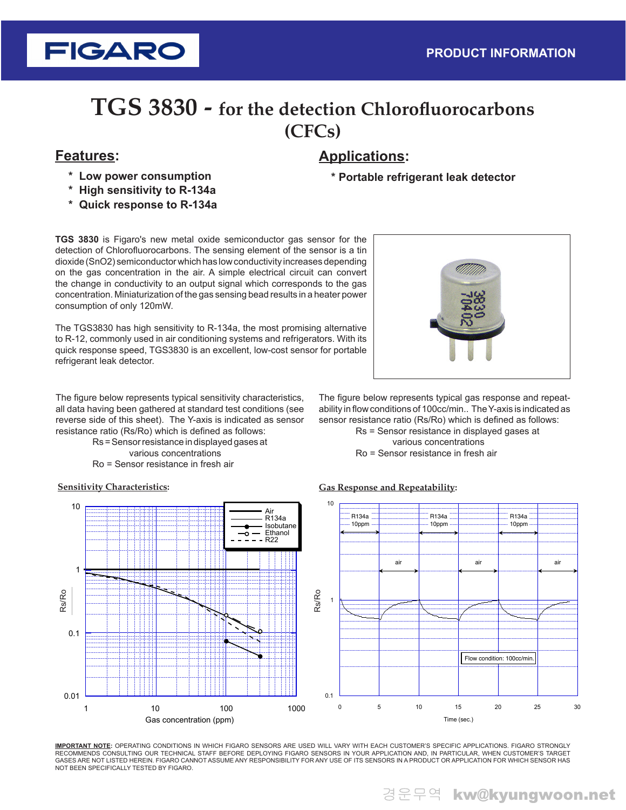# **TGS 3830 - for the detection Chlorofluorocarbons (CFCs)**

**FIGARO** 

- **\* Low power consumption**
- **\* High sensitivity to R-134a**
- **\* Quick response to R-134a**

**TGS 3830** is Figaro's new metal oxide semiconductor gas sensor for the detection of Chlorofluorocarbons. The sensing element of the sensor is a tin dioxide (SnO2) semiconductor which has low conductivity increases depending on the gas concentration in the air. A simple electrical circuit can convert the change in conductivity to an output signal which corresponds to the gas concentration. Miniaturization of the gas sensing bead results in a heater power consumption of only 120mW.

The TGS3830 has high sensitivity to R-134a, the most promising alternative to R-12, commonly used in air conditioning systems and refrigerators. With its quick response speed, TGS3830 is an excellent, low-cost sensor for portable refrigerant leak detector.

The figure below represents typical sensitivity characteristics, all data having been gathered at standard test conditions (see reverse side of this sheet). The Y-axis is indicated as sensor resistance ratio (Rs/Ro) which is defined as follows:

Rs = Sensor resistance in displayed gases at various concentrations Ro = Sensor resistance in fresh air

## **Features: Applications:**

**\* Portable refrigerant leak detector**

The figure below represents typical gas response and repeatability in flow conditions of 100cc/min.. The Y-axis is indicated as sensor resistance ratio (Rs/Ro) which is defined as follows:

> Rs = Sensor resistance in displayed gases at various concentrations Ro = Sensor resistance in fresh air

### **Gas Response and Repeatability:**



**IMPORTANT NOTE:** OPERATING CONDITIONS IN WHICH FIGARO SENSORS ARE USED WILL VARY WITH EACH CUSTOMER'S SPECIFIC APPLICATIONS. FIGARO STRONGLY RECOMMENDS CONSULTING OUR TECHNICAL STAFF BEFORE DEPLOYING FIGARO SENSORS IN YOUR APPLICATION AND, IN PARTICULAR, WHEN CUSTOMER'S TARGET GASES ARE NOT LISTED HEREIN. FIGARO CANNOT ASSUME ANY RESPONSIBILITY FOR ANY USE OF ITS SENSORS IN A PRODUCT OR APPLICATION FOR WHICH SENSOR HAS<br>NOT BEEN SPECIFICALLY TESTED BY FIGARO.

### **Sensitivity Characteristics:**